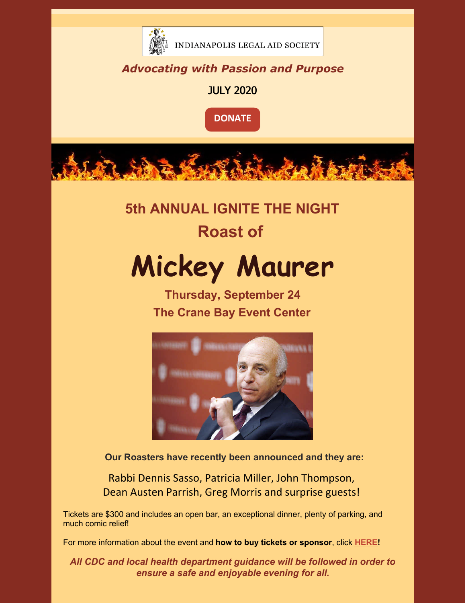

INDIANAPOLIS LEGAL AID SOCIETY

## *Advocating with Passion and Purpose*

JULY 2020



**5th ANNUAL IGNITE THE NIGHT**

# **Roast of**

# **Mickey Maurer**

**Thursday, September 24 The Crane Bay Event Center**



**Our Roasters have recently been announced and they are:**

Rabbi Dennis Sasso, Patricia Miller, John Thompson, Dean Austen Parrish, Greg Morris and surprise guests!

Tickets are \$300 and includes an open bar, an exceptional dinner, plenty of parking, and much comic relief!

For more information about the event and **how to buy tickets or sponsor**, click **[HERE](https://www.indylas.org/2020-ignite-the-night)[!](https://em-ui.constantcontact.com/em-ui/em/page/em-ui/email#)**

*All CDC and local health department guidance will be followed in order to ensure a safe and enjoyable evening for all.*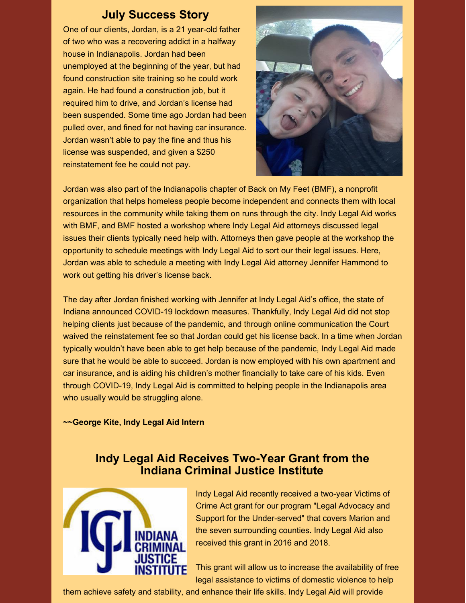## **July Success Story**

One of our clients, Jordan, is a 21 year-old father of two who was a recovering addict in a halfway house in Indianapolis. Jordan had been unemployed at the beginning of the year, but had found construction site training so he could work again. He had found a construction job, but it required him to drive, and Jordan's license had been suspended. Some time ago Jordan had been pulled over, and fined for not having car insurance. Jordan wasn't able to pay the fine and thus his license was suspended, and given a \$250 reinstatement fee he could not pay.



Jordan was also part of the Indianapolis chapter of Back on My Feet (BMF), a nonprofit organization that helps homeless people become independent and connects them with local resources in the community while taking them on runs through the city. Indy Legal Aid works with BMF, and BMF hosted a workshop where Indy Legal Aid attorneys discussed legal issues their clients typically need help with. Attorneys then gave people at the workshop the opportunity to schedule meetings with Indy Legal Aid to sort our their legal issues. Here, Jordan was able to schedule a meeting with Indy Legal Aid attorney Jennifer Hammond to work out getting his driver's license back.

The day after Jordan finished working with Jennifer at Indy Legal Aid's office, the state of Indiana announced COVID-19 lockdown measures. Thankfully, Indy Legal Aid did not stop helping clients just because of the pandemic, and through online communication the Court waived the reinstatement fee so that Jordan could get his license back. In a time when Jordan typically wouldn't have been able to get help because of the pandemic, Indy Legal Aid made sure that he would be able to succeed. Jordan is now employed with his own apartment and car insurance, and is aiding his children's mother financially to take care of his kids. Even through COVID-19, Indy Legal Aid is committed to helping people in the Indianapolis area who usually would be struggling alone.

#### **~~George Kite, Indy Legal Aid Intern**

## **Indy Legal Aid Receives Two-Year Grant from the Indiana Criminal Justice Institute**



Indy Legal Aid recently received a two-year Victims of Crime Act grant for our program "Legal Advocacy and Support for the Under-served" that covers Marion and the seven surrounding counties. Indy Legal Aid also received this grant in 2016 and 2018.

This grant will allow us to increase the availability of free legal assistance to victims of domestic violence to help

them achieve safety and stability, and enhance their life skills. Indy Legal Aid will provide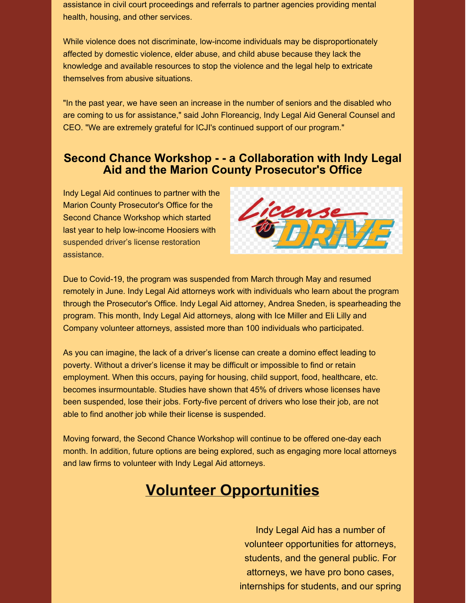assistance in civil court proceedings and referrals to partner agencies providing mental health, housing, and other services.

While violence does not discriminate, low-income individuals may be disproportionately affected by domestic violence, elder abuse, and child abuse because they lack the knowledge and available resources to stop the violence and the legal help to extricate themselves from abusive situations.

"In the past year, we have seen an increase in the number of seniors and the disabled who are coming to us for assistance," said John Floreancig, Indy Legal Aid General Counsel and CEO. "We are extremely grateful for ICJI's continued support of our program."

### **Second Chance Workshop - - a Collaboration with Indy Legal Aid and the Marion County Prosecutor's Office**

Indy Legal Aid continues to partner with the Marion County Prosecutor's Office for the Second Chance Workshop which started last year to help low-income Hoosiers with suspended driver's license restoration assistance.



Due to Covid-19, the program was suspended from March through May and resumed remotely in June. Indy Legal Aid attorneys work with individuals who learn about the program through the Prosecutor's Office. Indy Legal Aid attorney, Andrea Sneden, is spearheading the program. This month, Indy Legal Aid attorneys, along with Ice Miller and Eli Lilly and Company volunteer attorneys, assisted more than 100 individuals who participated.

As you can imagine, the lack of a driver's license can create a domino effect leading to poverty. Without a driver's license it may be difficult or impossible to find or retain employment. When this occurs, paying for housing, child support, food, healthcare, etc. becomes insurmountable. Studies have shown that 45% of drivers whose licenses have been suspended, lose their jobs. Forty-five percent of drivers who lose their job, are not able to find another job while their license is suspended.

Moving forward, the Second Chance Workshop will continue to be offered one-day each month. In addition, future options are being explored, such as engaging more local attorneys and law firms to volunteer with Indy Legal Aid attorneys.

## **Volunteer Opportunities**

Indy Legal Aid has a number of volunteer opportunities for attorneys, students, and the general public. For attorneys, we have pro bono cases, internships for students, and our spring